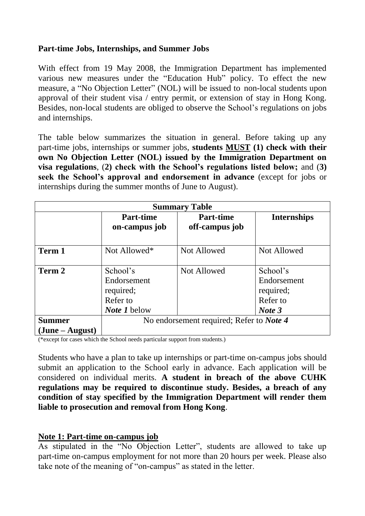# **Part-time Jobs, Internships, and Summer Jobs**

With effect from 19 May 2008, the Immigration Department has implemented various new measures under the "Education Hub" policy. To effect the new measure, a "No Objection Letter" (NOL) will be issued to non-local students upon approval of their student visa / entry permit, or extension of stay in Hong Kong. Besides, non-local students are obliged to observe the School's regulations on jobs and internships.

The table below summarizes the situation in general. Before taking up any part-time jobs, internships or summer jobs, **students MUST (1) check with their own No Objection Letter (NOL) issued by the Immigration Department on visa regulations**, (**2) check with the School's regulations listed below;** and (**3) seek the School's approval and endorsement in advance** (except for jobs or internships during the summer months of June to August).

| <b>Summary Table</b> |                                                                         |                                    |                                                            |
|----------------------|-------------------------------------------------------------------------|------------------------------------|------------------------------------------------------------|
|                      | <b>Part-time</b><br>on-campus job                                       | <b>Part-time</b><br>off-campus job | <b>Internships</b>                                         |
| Term 1               | Not Allowed*                                                            | <b>Not Allowed</b>                 | Not Allowed                                                |
| Term 2               | School's<br>Endorsement<br>required;<br>Refer to<br><i>Note 1</i> below | <b>Not Allowed</b>                 | School's<br>Endorsement<br>required;<br>Refer to<br>Note 3 |
| <b>Summer</b>        | No endorsement required; Refer to Note 4                                |                                    |                                                            |
| $(June - August)$    |                                                                         |                                    |                                                            |

(\*except for cases which the School needs particular support from students.)

Students who have a plan to take up internships or part-time on-campus jobs should submit an application to the School early in advance. Each application will be considered on individual merits. **A student in breach of the above CUHK regulations may be required to discontinue study. Besides, a breach of any condition of stay specified by the Immigration Department will render them liable to prosecution and removal from Hong Kong**.

### **Note 1: Part-time on-campus job**

As stipulated in the "No Objection Letter", students are allowed to take up part-time on-campus employment for not more than 20 hours per week. Please also take note of the meaning of "on-campus" as stated in the letter.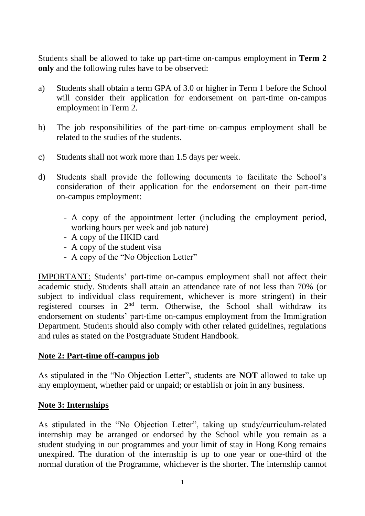Students shall be allowed to take up part-time on-campus employment in **Term 2 only** and the following rules have to be observed:

- a) Students shall obtain a term GPA of 3.0 or higher in Term 1 before the School will consider their application for endorsement on part-time on-campus employment in Term 2.
- b) The job responsibilities of the part-time on-campus employment shall be related to the studies of the students.
- c) Students shall not work more than 1.5 days per week.
- d) Students shall provide the following documents to facilitate the School's consideration of their application for the endorsement on their part-time on-campus employment:
	- A copy of the appointment letter (including the employment period, working hours per week and job nature)
	- A copy of the HKID card
	- A copy of the student visa
	- A copy of the "No Objection Letter"

IMPORTANT: Students' part-time on-campus employment shall not affect their academic study. Students shall attain an attendance rate of not less than 70% (or subject to individual class requirement, whichever is more stringent) in their registered courses in 2nd term. Otherwise, the School shall withdraw its endorsement on students' part-time on-campus employment from the Immigration Department. Students should also comply with other related guidelines, regulations and rules as stated on the Postgraduate Student Handbook.

### **Note 2: Part-time off-campus job**

As stipulated in the "No Objection Letter", students are **NOT** allowed to take up any employment, whether paid or unpaid; or establish or join in any business.

### **Note 3: Internships**

As stipulated in the "No Objection Letter", taking up study/curriculum-related internship may be arranged or endorsed by the School while you remain as a student studying in our programmes and your limit of stay in Hong Kong remains unexpired. The duration of the internship is up to one year or one-third of the normal duration of the Programme, whichever is the shorter. The internship cannot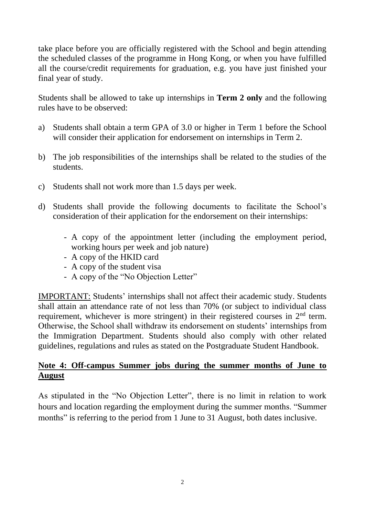take place before you are officially registered with the School and begin attending the scheduled classes of the programme in Hong Kong, or when you have fulfilled all the course/credit requirements for graduation, e.g. you have just finished your final year of study.

Students shall be allowed to take up internships in **Term 2 only** and the following rules have to be observed:

- a) Students shall obtain a term GPA of 3.0 or higher in Term 1 before the School will consider their application for endorsement on internships in Term 2.
- b) The job responsibilities of the internships shall be related to the studies of the students.
- c) Students shall not work more than 1.5 days per week.
- d) Students shall provide the following documents to facilitate the School's consideration of their application for the endorsement on their internships:
	- A copy of the appointment letter (including the employment period, working hours per week and job nature)
	- A copy of the HKID card
	- A copy of the student visa
	- A copy of the "No Objection Letter"

IMPORTANT: Students' internships shall not affect their academic study. Students shall attain an attendance rate of not less than 70% (or subject to individual class requirement, whichever is more stringent) in their registered courses in 2<sup>nd</sup> term. Otherwise, the School shall withdraw its endorsement on students' internships from the Immigration Department. Students should also comply with other related guidelines, regulations and rules as stated on the Postgraduate Student Handbook.

# **Note 4: Off-campus Summer jobs during the summer months of June to August**

As stipulated in the "No Objection Letter", there is no limit in relation to work hours and location regarding the employment during the summer months. "Summer months" is referring to the period from 1 June to 31 August, both dates inclusive.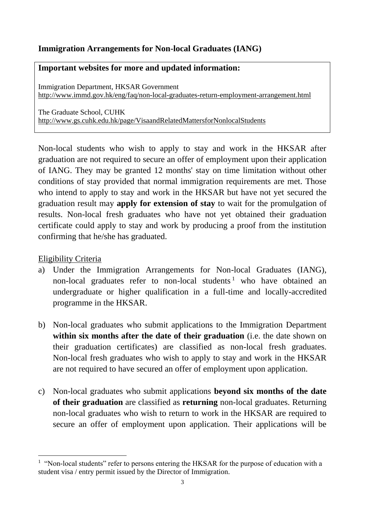# **Immigration Arrangements for Non-local Graduates (IANG)**

### **Important websites for more and updated information:**

Immigration Department, HKSAR Government <http://www.immd.gov.hk/eng/faq/non-local-graduates-return-employment-arrangement.html>

The Graduate School, CUHK <http://www.gs.cuhk.edu.hk/page/VisaandRelatedMattersforNonlocalStudents>

Non-local students who wish to apply to stay and work in the HKSAR after graduation are not required to secure an offer of employment upon their application of IANG. They may be granted 12 months' stay on time limitation without other conditions of stay provided that normal immigration requirements are met. Those who intend to apply to stay and work in the HKSAR but have not yet secured the graduation result may **apply for extension of stay** to wait for the promulgation of results. Non-local fresh graduates who have not yet obtained their graduation certificate could apply to stay and work by producing a proof from the institution confirming that he/she has graduated.

### Eligibility Criteria

 $\overline{a}$ 

- a) Under the Immigration Arrangements for Non-local Graduates (IANG), non-local graduates refer to non-local students<sup>1</sup> who have obtained an undergraduate or higher qualification in a full-time and locally-accredited programme in the HKSAR.
- b) Non-local graduates who submit applications to the Immigration Department **within six months after the date of their graduation** (i.e. the date shown on their graduation certificates) are classified as non-local fresh graduates. Non-local fresh graduates who wish to apply to stay and work in the HKSAR are not required to have secured an offer of employment upon application.
- c) Non-local graduates who submit applications **beyond six months of the date of their graduation** are classified as **returning** non-local graduates. Returning non-local graduates who wish to return to work in the HKSAR are required to secure an offer of employment upon application. Their applications will be

<sup>&</sup>lt;sup>1</sup> "Non-local students" refer to persons entering the HKSAR for the purpose of education with a student visa / entry permit issued by the Director of Immigration.